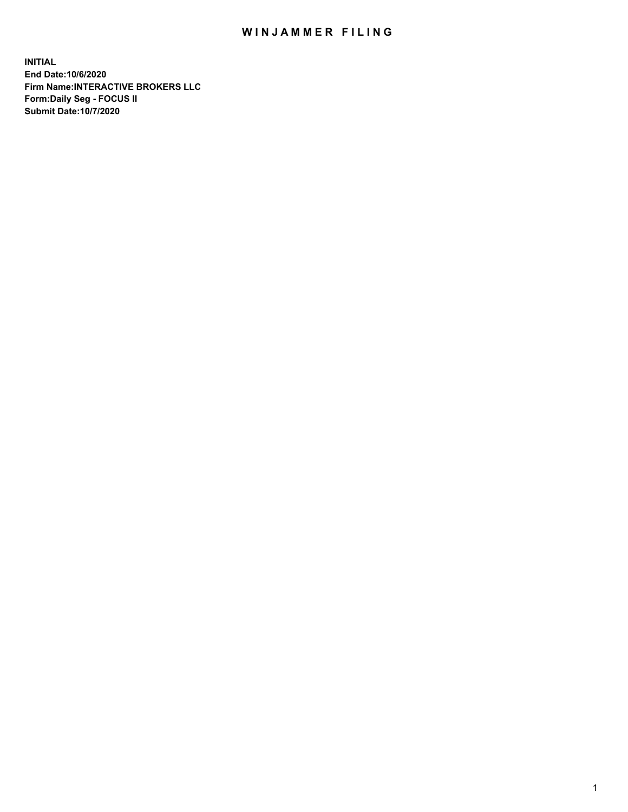## WIN JAMMER FILING

**INITIAL End Date:10/6/2020 Firm Name:INTERACTIVE BROKERS LLC Form:Daily Seg - FOCUS II Submit Date:10/7/2020**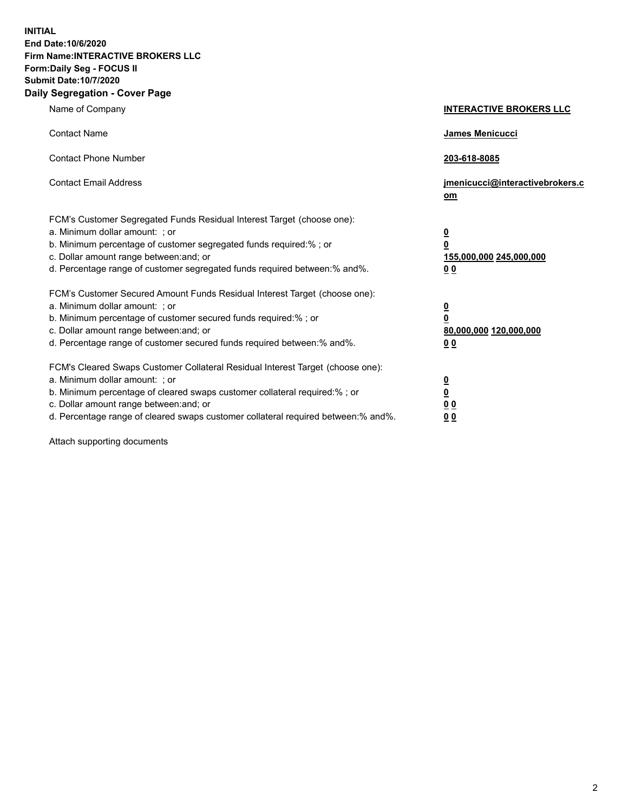**INITIAL End Date:10/6/2020 Firm Name:INTERACTIVE BROKERS LLC Form:Daily Seg - FOCUS II Submit Date:10/7/2020 Daily Segregation - Cover Page**

| Name of Company                                                                                                                                                                                                                                                                                                               | <b>INTERACTIVE BROKERS LLC</b>                                                                  |
|-------------------------------------------------------------------------------------------------------------------------------------------------------------------------------------------------------------------------------------------------------------------------------------------------------------------------------|-------------------------------------------------------------------------------------------------|
| <b>Contact Name</b>                                                                                                                                                                                                                                                                                                           | <b>James Menicucci</b>                                                                          |
| <b>Contact Phone Number</b>                                                                                                                                                                                                                                                                                                   | 203-618-8085                                                                                    |
| <b>Contact Email Address</b>                                                                                                                                                                                                                                                                                                  | jmenicucci@interactivebrokers.c<br>om                                                           |
| FCM's Customer Segregated Funds Residual Interest Target (choose one):<br>a. Minimum dollar amount: ; or<br>b. Minimum percentage of customer segregated funds required:% ; or<br>c. Dollar amount range between: and; or<br>d. Percentage range of customer segregated funds required between:% and%.                        | $\overline{\mathbf{0}}$<br>$\overline{\mathbf{0}}$<br>155,000,000 245,000,000<br>0 <sub>0</sub> |
| FCM's Customer Secured Amount Funds Residual Interest Target (choose one):<br>a. Minimum dollar amount: ; or<br>b. Minimum percentage of customer secured funds required:%; or<br>c. Dollar amount range between: and; or<br>d. Percentage range of customer secured funds required between:% and%.                           | $\overline{\mathbf{0}}$<br>$\pmb{0}$<br>80,000,000 120,000,000<br>0 <sub>0</sub>                |
| FCM's Cleared Swaps Customer Collateral Residual Interest Target (choose one):<br>a. Minimum dollar amount: ; or<br>b. Minimum percentage of cleared swaps customer collateral required:%; or<br>c. Dollar amount range between: and; or<br>d. Percentage range of cleared swaps customer collateral required between:% and%. | $\overline{\mathbf{0}}$<br><u>0</u><br>0 <sub>0</sub><br>00                                     |

Attach supporting documents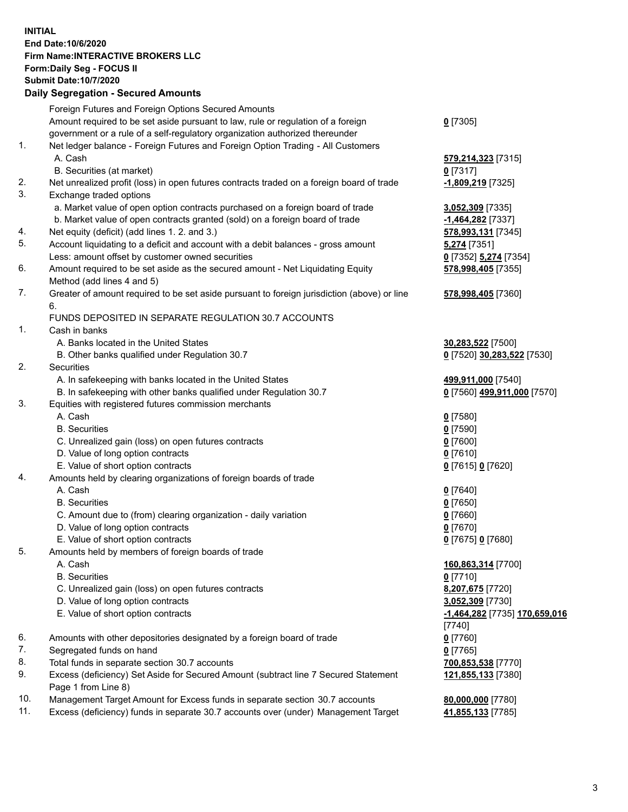**INITIAL End Date:10/6/2020 Firm Name:INTERACTIVE BROKERS LLC Form:Daily Seg - FOCUS II Submit Date:10/7/2020 Daily Segregation - Secured Amounts**

|     | Daily Segregation - Secured Amounts                                                         |                               |
|-----|---------------------------------------------------------------------------------------------|-------------------------------|
|     | Foreign Futures and Foreign Options Secured Amounts                                         |                               |
|     | Amount required to be set aside pursuant to law, rule or regulation of a foreign            | $0$ [7305]                    |
|     | government or a rule of a self-regulatory organization authorized thereunder                |                               |
| 1.  | Net ledger balance - Foreign Futures and Foreign Option Trading - All Customers             |                               |
|     | A. Cash                                                                                     | 579,214,323 [7315]            |
|     | B. Securities (at market)                                                                   | $0$ [7317]                    |
| 2.  | Net unrealized profit (loss) in open futures contracts traded on a foreign board of trade   | -1,809,219 [7325]             |
| 3.  | Exchange traded options                                                                     |                               |
|     | a. Market value of open option contracts purchased on a foreign board of trade              | 3,052,309 [7335]              |
|     | b. Market value of open contracts granted (sold) on a foreign board of trade                | -1,464,282 <sup>[7337]</sup>  |
| 4.  | Net equity (deficit) (add lines 1. 2. and 3.)                                               | 578,993,131 [7345]            |
| 5.  | Account liquidating to a deficit and account with a debit balances - gross amount           | 5,274 [7351]                  |
|     | Less: amount offset by customer owned securities                                            | 0 [7352] 5,274 [7354]         |
| 6.  | Amount required to be set aside as the secured amount - Net Liquidating Equity              | 578,998,405 [7355]            |
|     | Method (add lines 4 and 5)                                                                  |                               |
| 7.  | Greater of amount required to be set aside pursuant to foreign jurisdiction (above) or line | 578,998,405 [7360]            |
|     | 6.                                                                                          |                               |
|     | FUNDS DEPOSITED IN SEPARATE REGULATION 30.7 ACCOUNTS                                        |                               |
| 1.  | Cash in banks                                                                               |                               |
|     | A. Banks located in the United States                                                       |                               |
|     |                                                                                             | 30,283,522 [7500]             |
| 2.  | B. Other banks qualified under Regulation 30.7<br><b>Securities</b>                         | 0 [7520] 30,283,522 [7530]    |
|     |                                                                                             |                               |
|     | A. In safekeeping with banks located in the United States                                   | 499,911,000 [7540]            |
|     | B. In safekeeping with other banks qualified under Regulation 30.7                          | 0 [7560] 499,911,000 [7570]   |
| 3.  | Equities with registered futures commission merchants                                       |                               |
|     | A. Cash                                                                                     | $0$ [7580]                    |
|     | <b>B.</b> Securities                                                                        | $0$ [7590]                    |
|     | C. Unrealized gain (loss) on open futures contracts                                         | $0$ [7600]                    |
|     | D. Value of long option contracts                                                           | $0$ [7610]                    |
|     | E. Value of short option contracts                                                          | 0 [7615] 0 [7620]             |
| 4.  | Amounts held by clearing organizations of foreign boards of trade                           |                               |
|     | A. Cash                                                                                     | $0$ [7640]                    |
|     | <b>B.</b> Securities                                                                        | $0$ [7650]                    |
|     | C. Amount due to (from) clearing organization - daily variation                             | $0$ [7660]                    |
|     | D. Value of long option contracts                                                           | $0$ [7670]                    |
|     | E. Value of short option contracts                                                          | 0 [7675] 0 [7680]             |
| 5.  | Amounts held by members of foreign boards of trade                                          |                               |
|     | A. Cash                                                                                     | 160,863,314 [7700]            |
|     | <b>B.</b> Securities                                                                        | $0$ [7710]                    |
|     | C. Unrealized gain (loss) on open futures contracts                                         | 8,207,675 [7720]              |
|     | D. Value of long option contracts                                                           | 3,052,309 [7730]              |
|     | E. Value of short option contracts                                                          | -1,464,282 [7735] 170,659,016 |
|     |                                                                                             | $[7740]$                      |
| 6.  | Amounts with other depositories designated by a foreign board of trade                      | $0$ [7760]                    |
| 7.  | Segregated funds on hand                                                                    | $0$ [7765]                    |
| 8.  | Total funds in separate section 30.7 accounts                                               | 700,853,538 [7770]            |
| 9.  | Excess (deficiency) Set Aside for Secured Amount (subtract line 7 Secured Statement         | 121,855,133 [7380]            |
|     | Page 1 from Line 8)                                                                         |                               |
| 10. | Management Target Amount for Excess funds in separate section 30.7 accounts                 | 80,000,000 [7780]             |
| 11. | Excess (deficiency) funds in separate 30.7 accounts over (under) Management Target          | 41,855,133 [7785]             |
|     |                                                                                             |                               |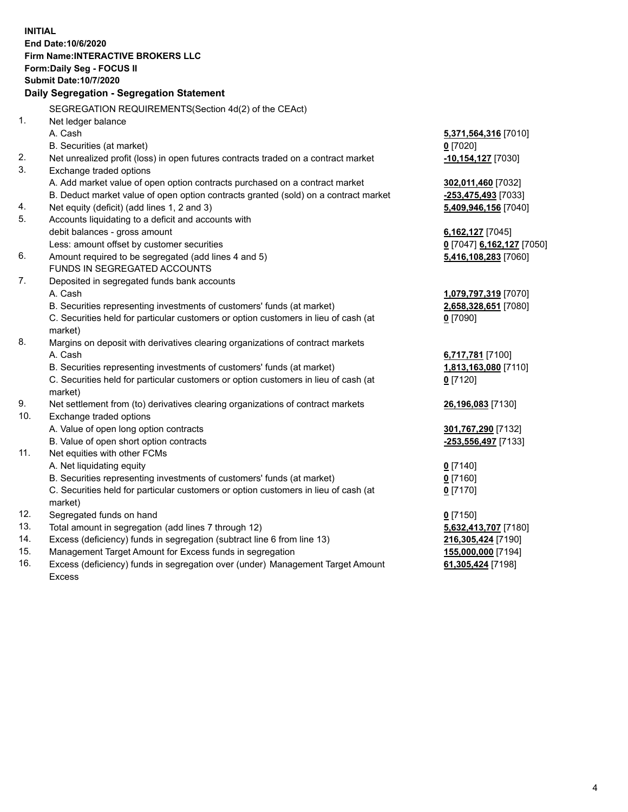**INITIAL End Date:10/6/2020 Firm Name:INTERACTIVE BROKERS LLC Form:Daily Seg - FOCUS II Submit Date:10/7/2020 Daily Segregation - Segregation Statement** SEGREGATION REQUIREMENTS(Section 4d(2) of the CEAct) 1. Net ledger balance A. Cash **5,371,564,316** [7010] B. Securities (at market) **0** [7020] 2. Net unrealized profit (loss) in open futures contracts traded on a contract market **-10,154,127** [7030] 3. Exchange traded options A. Add market value of open option contracts purchased on a contract market **302,011,460** [7032] B. Deduct market value of open option contracts granted (sold) on a contract market **-253,475,493** [7033] 4. Net equity (deficit) (add lines 1, 2 and 3) **5,409,946,156** [7040] 5. Accounts liquidating to a deficit and accounts with debit balances - gross amount **6,162,127** [7045] Less: amount offset by customer securities **0** [7047] **6,162,127** [7050] 6. Amount required to be segregated (add lines 4 and 5) **5,416,108,283** [7060] FUNDS IN SEGREGATED ACCOUNTS 7. Deposited in segregated funds bank accounts A. Cash **1,079,797,319** [7070] B. Securities representing investments of customers' funds (at market) **2,658,328,651** [7080] C. Securities held for particular customers or option customers in lieu of cash (at market) **0** [7090] 8. Margins on deposit with derivatives clearing organizations of contract markets A. Cash **6,717,781** [7100] B. Securities representing investments of customers' funds (at market) **1,813,163,080** [7110] C. Securities held for particular customers or option customers in lieu of cash (at market) **0** [7120] 9. Net settlement from (to) derivatives clearing organizations of contract markets **26,196,083** [7130] 10. Exchange traded options A. Value of open long option contracts **301,767,290** [7132] B. Value of open short option contracts **-253,556,497** [7133] 11. Net equities with other FCMs A. Net liquidating equity **0** [7140] B. Securities representing investments of customers' funds (at market) **0** [7160] C. Securities held for particular customers or option customers in lieu of cash (at market) **0** [7170] 12. Segregated funds on hand **0** [7150] 13. Total amount in segregation (add lines 7 through 12) **5,632,413,707** [7180] 14. Excess (deficiency) funds in segregation (subtract line 6 from line 13) **216,305,424** [7190] 15. Management Target Amount for Excess funds in segregation **155,000,000** [7194] 16. Excess (deficiency) funds in segregation over (under) Management Target Amount **61,305,424** [7198]

Excess